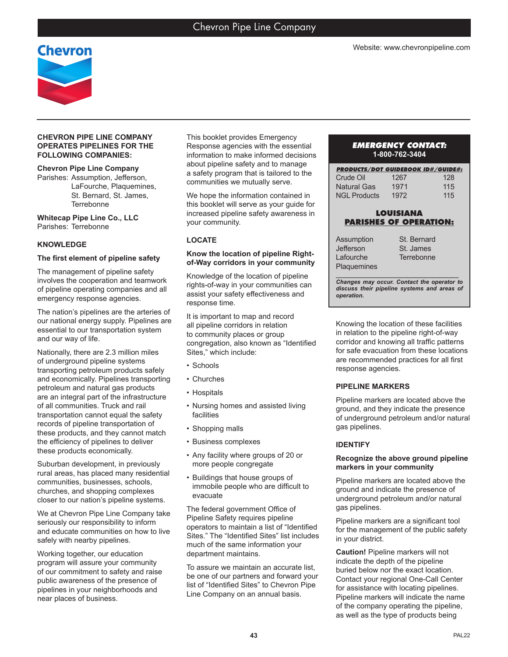

### **CHEVRON PIPE LINE COMPANY OPERATES PIPELINES FOR THE FOLLOWING COMPANIES:**

### **Chevron Pipe Line Company**

Parishes: Assumption, Jefferson, LaFourche, Plaquemines, St. Bernard, St. James, **Terrebonne** 

**Whitecap Pipe Line Co., LLC** Parishes: Terrebonne

### **KNOWLEDGE**

#### **The first element of pipeline safety**

The management of pipeline safety involves the cooperation and teamwork of pipeline operating companies and all emergency response agencies.

The nation's pipelines are the arteries of our national energy supply. Pipelines are essential to our transportation system and our way of life.

Nationally, there are 2.3 million miles of underground pipeline systems transporting petroleum products safely and economically. Pipelines transporting petroleum and natural gas products are an integral part of the infrastructure of all communities. Truck and rail transportation cannot equal the safety records of pipeline transportation of these products, and they cannot match the efficiency of pipelines to deliver these products economically.

Suburban development, in previously rural areas, has placed many residential communities, businesses, schools, churches, and shopping complexes closer to our nation's pipeline systems.

We at Chevron Pipe Line Company take seriously our responsibility to inform and educate communities on how to live safely with nearby pipelines.

Working together, our education program will assure your community of our commitment to safety and raise public awareness of the presence of pipelines in your neighborhoods and near places of business.

This booklet provides Emergency Response agencies with the essential information to make informed decisions about pipeline safety and to manage a safety program that is tailored to the communities we mutually serve.

We hope the information contained in this booklet will serve as your guide for increased pipeline safety awareness in your community.

### **LOCATE**

#### **Know the location of pipeline Rightof-Way corridors in your community**

Knowledge of the location of pipeline rights-of-way in your communities can assist your safety effectiveness and response time.

It is important to map and record all pipeline corridors in relation to community places or group congregation, also known as "Identified Sites," which include:

- Schools
- Churches
- Hospitals
- Nursing homes and assisted living facilities
- Shopping malls
- Business complexes
- Any facility where groups of 20 or more people congregate
- Buildings that house groups of immobile people who are difficult to evacuate

The federal government Office of Pipeline Safety requires pipeline operators to maintain a list of "Identified Sites." The "Identified Sites" list includes much of the same information your department maintains.

To assure we maintain an accurate list, be one of our partners and forward your list of "Identified Sites" to Chevron Pipe Line Company on an annual basis.

#### *EMERGENCY CONTACT:* **1-800-762-3404**

| <b>PRODUCTS/DOT GUIDEBOOK ID#/GUIDE#:</b> |      |     |
|-------------------------------------------|------|-----|
| Crude Oil                                 | 1267 | 128 |
| <b>Natural Gas</b>                        | 1971 | 115 |
| <b>NGI Products</b>                       | 1972 | 115 |

# **LOUISIANA PARISHES OF OPERATION:**

| Assumption  | St. Bernard |
|-------------|-------------|
| Jefferson   | St. James   |
| Lafourche   | Terrebonne  |
| Plaquemines |             |

*\_\_\_\_\_\_\_\_\_\_\_\_\_\_\_\_\_\_\_\_\_\_\_\_\_\_\_\_\_\_\_\_\_\_\_\_\_\_ Changes may occur. Contact the operator to discuss their pipeline systems and areas of operation.*

Knowing the location of these facilities in relation to the pipeline right-of-way corridor and knowing all traffic patterns for safe evacuation from these locations are recommended practices for all first response agencies.

### **PIPELINE MARKERS**

Pipeline markers are located above the ground, and they indicate the presence of underground petroleum and/or natural gas pipelines.

### **IDENTIFY**

#### **Recognize the above ground pipeline markers in your community**

Pipeline markers are located above the ground and indicate the presence of underground petroleum and/or natural gas pipelines.

Pipeline markers are a significant tool for the management of the public safety in your district.

**Caution!** Pipeline markers will not indicate the depth of the pipeline buried below nor the exact location. Contact your regional One-Call Center for assistance with locating pipelines. Pipeline markers will indicate the name of the company operating the pipeline, as well as the type of products being